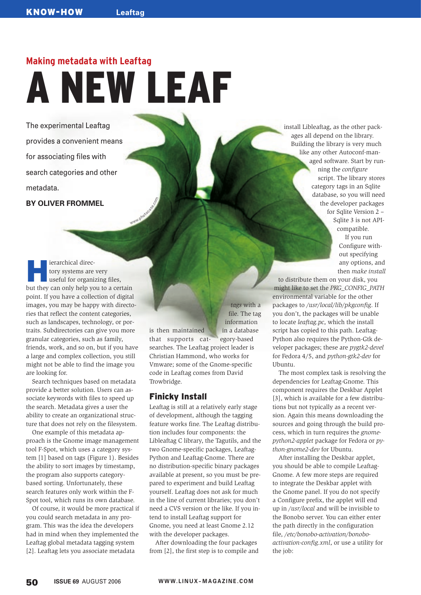# **Making metadata with Leaftag** A NEW LEAF

**www.photocase.co<sup>m</sup>**

The experimental Leaftag provides a convenient means for associating files with search categories and other metadata.

**BY OLIVER FROMMEL**

**Exercise Additional directory systems are very useful for organizing files,** tory systems are very but they can only help you to a certain point. If you have a collection of digital images, you may be happy with directories that reflect the content categories, such as landscapes, technology, or portraits. Subdirectories can give you more granular categories, such as family, friends, work, and so on, but if you have a large and complex collection, you still might not be able to find the image you are looking for.

Search techniques based on metadata provide a better solution. Users can associate keywords with files to speed up the search. Metadata gives a user the ability to create an organizational structure that does not rely on the filesystem.

One example of this metadata approach is the Gnome image management tool F-Spot, which uses a category system [1] based on tags (Figure 1). Besides the ability to sort images by timestamp, the program also supports categorybased sorting. Unfortunately, these search features only work within the F-Spot tool, which runs its own database.

Of course, it would be more practical if you could search metadata in any program. This was the idea the developers had in mind when they implemented the Leaftag global metadata tagging system [2]. Leaftag lets you associate metadata

information is then maintained in a database that supports cat- egory-based searches. The Leaftag project leader is Christian Hammond, who works for Vmware; some of the Gnome-specific code in Leaftag comes from David Trowbridge.

*tags* with a file. The tag

# Finicky Install

Leaftag is still at a relatively early stage of development, although the tagging feature works fine. The Leaftag distribution includes four components: the Libleaftag C library, the Tagutils, and the two Gnome-specific packages, Leaftag-Python and Leaftag-Gnome. There are no distribution-specific binary packages available at present, so you must be prepared to experiment and build Leaftag yourself. Leaftag does not ask for much in the line of current libraries; you don't need a CVS version or the like. If you intend to install Leaftag support for Gnome, you need at least Gnome 2.12 with the developer packages.

After downloading the four packages from [2], the first step is to compile and install Libleaftag, as the other packages all depend on the library. Building the library is very much like any other Autoconf-managed software. Start by running the *configure* script. The library stores category tags in an Sqlite database, so you will need the developer packages for Sqlite Version 2 – Sqlite 3 is not APIcompatible. If you run

Configure without specifying any options, and then *make install*

to distribute them on your disk, you might like to set the *PKG\_CONFIG\_PATH* environmental variable for the other packages to */usr/local/lib/pkgconfig*. If you don't, the packages will be unable to locate *leaftag.pc*, which the install script has copied to this path. Leaftag-Python also requires the Python-Gtk developer packages; these are *pygtk2-devel* for Fedora 4/5, and *python-gtk2-dev* for Ubuntu.

The most complex task is resolving the dependencies for Leaftag-Gnome. This component requires the Deskbar Applet [3], which is available for a few distributions but not typically as a recent version. Again this means downloading the sources and going through the build process, which in turn requires the *gnomepython2-applet* package for Fedora or *python-gnome2-dev* for Ubuntu.

After installing the Deskbar applet, you should be able to compile Leaftag-Gnome. A few more steps are required to integrate the Deskbar applet with the Gnome panel. If you do not specify a Configure prefix, the applet will end up in */usr/local* and will be invisible to the Bonobo server. You can either enter the path directly in the configuration file, */etc/bonobo-activation/bonoboactivation-config.xml*, or use a utility for the job: